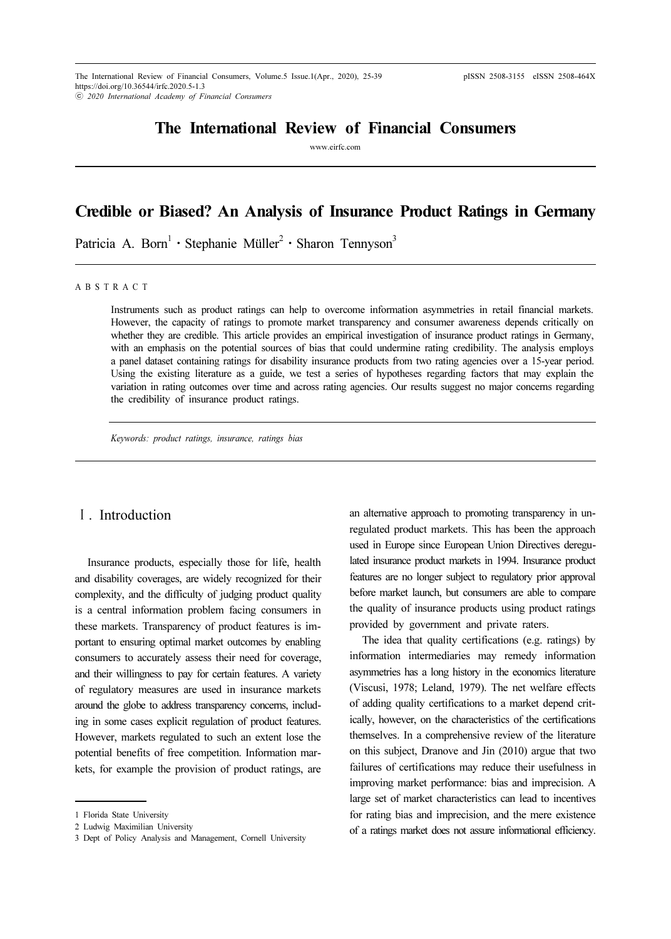## The International Review of Financial Consumers

www.eirfc.com

# Credible or Biased? An Analysis of Insurance Product Ratings in Germany

Patricia A. Born<sup>1</sup> · Stephanie Müller<sup>2</sup> · Sharon Tennyson<sup>3</sup>

A B S T R A C T

Instruments such as product ratings can help to overcome information asymmetries in retail financial markets. However, the capacity of ratings to promote market transparency and consumer awareness depends critically on whether they are credible. This article provides an empirical investigation of insurance product ratings in Germany, with an emphasis on the potential sources of bias that could undermine rating credibility. The analysis employs a panel dataset containing ratings for disability insurance products from two rating agencies over a 15-year period. Using the existing literature as a guide, we test a series of hypotheses regarding factors that may explain the variation in rating outcomes over time and across rating agencies. Our results suggest no major concerns regarding the credibility of insurance product ratings.

Keywords: product ratings, insurance, ratings bias

## Ⅰ. Introduction

Insurance products, especially those for life, health and disability coverages, are widely recognized for their complexity, and the difficulty of judging product quality is a central information problem facing consumers in these markets. Transparency of product features is important to ensuring optimal market outcomes by enabling consumers to accurately assess their need for coverage, and their willingness to pay for certain features. A variety of regulatory measures are used in insurance markets around the globe to address transparency concerns, including in some cases explicit regulation of product features. However, markets regulated to such an extent lose the potential benefits of free competition. Information markets, for example the provision of product ratings, are

an alternative approach to promoting transparency in unregulated product markets. This has been the approach used in Europe since European Union Directives deregulated insurance product markets in 1994. Insurance product features are no longer subject to regulatory prior approval before market launch, but consumers are able to compare the quality of insurance products using product ratings provided by government and private raters.

The idea that quality certifications (e.g. ratings) by information intermediaries may remedy information asymmetries has a long history in the economics literature (Viscusi, 1978; Leland, 1979). The net welfare effects of adding quality certifications to a market depend critically, however, on the characteristics of the certifications themselves. In a comprehensive review of the literature on this subject, Dranove and Jin (2010) argue that two failures of certifications may reduce their usefulness in improving market performance: bias and imprecision. A large set of market characteristics can lead to incentives for rating bias and imprecision, and the mere existence of a ratings market does not assure informational efficiency.

<sup>1</sup> Florida State University

<sup>2</sup> Ludwig Maximilian University

<sup>3</sup> Dept of Policy Analysis and Management, Cornell University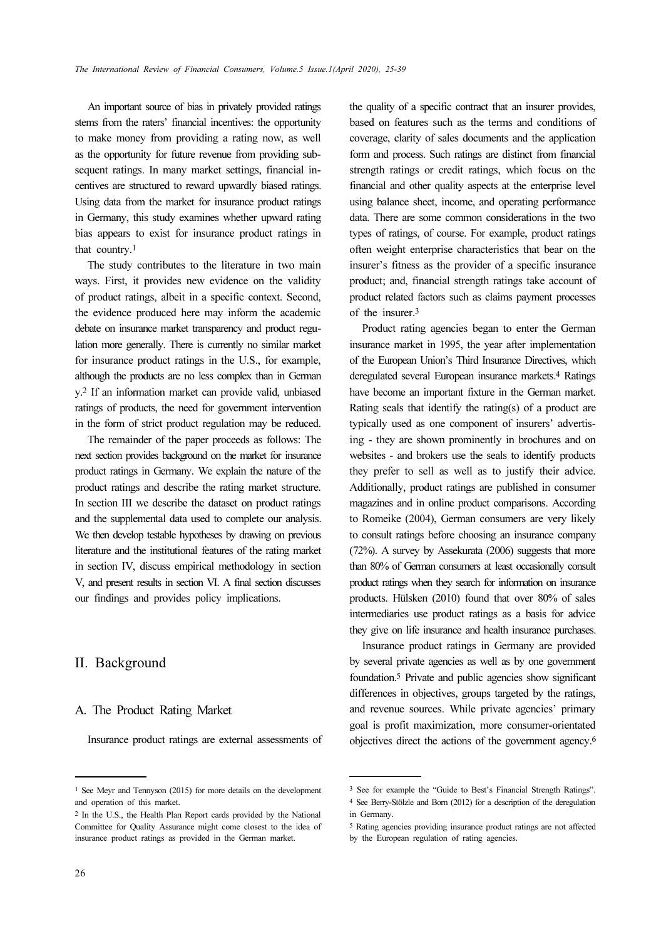An important source of bias in privately provided ratings stems from the raters' financial incentives: the opportunity to make money from providing a rating now, as well as the opportunity for future revenue from providing subsequent ratings. In many market settings, financial incentives are structured to reward upwardly biased ratings. Using data from the market for insurance product ratings in Germany, this study examines whether upward rating bias appears to exist for insurance product ratings in that country.<sup>1</sup>

The study contributes to the literature in two main ways. First, it provides new evidence on the validity of product ratings, albeit in a specific context. Second, the evidence produced here may inform the academic debate on insurance market transparency and product regulation more generally. There is currently no similar market for insurance product ratings in the U.S., for example, although the products are no less complex than in German y.2 If an information market can provide valid, unbiased ratings of products, the need for government intervention in the form of strict product regulation may be reduced.

The remainder of the paper proceeds as follows: The next section provides background on the market for insurance product ratings in Germany. We explain the nature of the product ratings and describe the rating market structure. In section III we describe the dataset on product ratings and the supplemental data used to complete our analysis. We then develop testable hypotheses by drawing on previous literature and the institutional features of the rating market in section IV, discuss empirical methodology in section V, and present results in section VI. A final section discusses our findings and provides policy implications.

## II. Background

#### A. The Product Rating Market

Insurance product ratings are external assessments of

the quality of a specific contract that an insurer provides, based on features such as the terms and conditions of coverage, clarity of sales documents and the application form and process. Such ratings are distinct from financial strength ratings or credit ratings, which focus on the financial and other quality aspects at the enterprise level using balance sheet, income, and operating performance data. There are some common considerations in the two types of ratings, of course. For example, product ratings often weight enterprise characteristics that bear on the insurer's fitness as the provider of a specific insurance product; and, financial strength ratings take account of product related factors such as claims payment processes of the insurer.<sup>3</sup>

Product rating agencies began to enter the German insurance market in 1995, the year after implementation of the European Union's Third Insurance Directives, which deregulated several European insurance markets.4 Ratings have become an important fixture in the German market. Rating seals that identify the rating(s) of a product are typically used as one component of insurers' advertising - they are shown prominently in brochures and on websites - and brokers use the seals to identify products they prefer to sell as well as to justify their advice. Additionally, product ratings are published in consumer magazines and in online product comparisons. According to Romeike (2004), German consumers are very likely to consult ratings before choosing an insurance company (72%). A survey by Assekurata (2006) suggests that more than 80% of German consumers at least occasionally consult product ratings when they search for information on insurance products. Hülsken (2010) found that over 80% of sales intermediaries use product ratings as a basis for advice they give on life insurance and health insurance purchases.

Insurance product ratings in Germany are provided by several private agencies as well as by one government foundation.5 Private and public agencies show significant differences in objectives, groups targeted by the ratings, and revenue sources. While private agencies' primary goal is profit maximization, more consumer-orientated objectives direct the actions of the government agency.<sup>6</sup>

<sup>1</sup> See Meyr and Tennyson (2015) for more details on the development and operation of this market.

<sup>2</sup> In the U.S., the Health Plan Report cards provided by the National Committee for Quality Assurance might come closest to the idea of insurance product ratings as provided in the German market.

<sup>3</sup> See for example the "Guide to Best's Financial Strength Ratings". <sup>4</sup> See Berry-Stölzle and Born (2012) for a description of the deregulation

in Germany.

<sup>5</sup> Rating agencies providing insurance product ratings are not affected by the European regulation of rating agencies.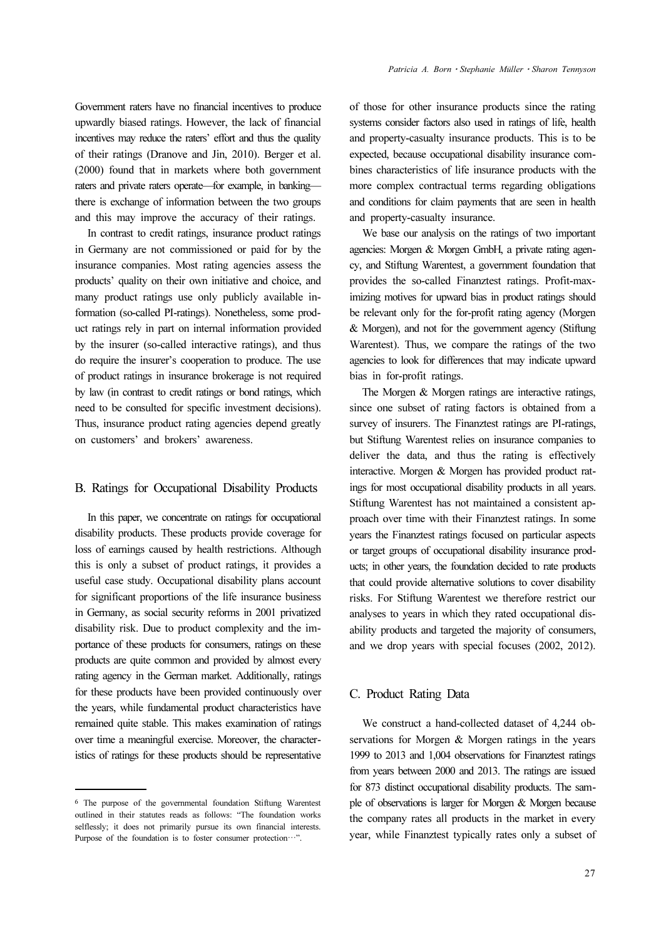Government raters have no financial incentives to produce upwardly biased ratings. However, the lack of financial incentives may reduce the raters' effort and thus the quality of their ratings (Dranove and Jin, 2010). Berger et al. (2000) found that in markets where both government raters and private raters operate—for example, in banking there is exchange of information between the two groups and this may improve the accuracy of their ratings.

In contrast to credit ratings, insurance product ratings in Germany are not commissioned or paid for by the insurance companies. Most rating agencies assess the products' quality on their own initiative and choice, and many product ratings use only publicly available information (so-called PI-ratings). Nonetheless, some product ratings rely in part on internal information provided by the insurer (so-called interactive ratings), and thus do require the insurer's cooperation to produce. The use of product ratings in insurance brokerage is not required by law (in contrast to credit ratings or bond ratings, which need to be consulted for specific investment decisions). Thus, insurance product rating agencies depend greatly on customers' and brokers' awareness.

#### B. Ratings for Occupational Disability Products

In this paper, we concentrate on ratings for occupational disability products. These products provide coverage for loss of earnings caused by health restrictions. Although this is only a subset of product ratings, it provides a useful case study. Occupational disability plans account for significant proportions of the life insurance business in Germany, as social security reforms in 2001 privatized disability risk. Due to product complexity and the importance of these products for consumers, ratings on these products are quite common and provided by almost every rating agency in the German market. Additionally, ratings for these products have been provided continuously over the years, while fundamental product characteristics have remained quite stable. This makes examination of ratings over time a meaningful exercise. Moreover, the characteristics of ratings for these products should be representative

of those for other insurance products since the rating systems consider factors also used in ratings of life, health and property-casualty insurance products. This is to be expected, because occupational disability insurance combines characteristics of life insurance products with the more complex contractual terms regarding obligations and conditions for claim payments that are seen in health and property-casualty insurance.

We base our analysis on the ratings of two important agencies: Morgen & Morgen GmbH, a private rating agency, and Stiftung Warentest, a government foundation that provides the so-called Finanztest ratings. Profit-maximizing motives for upward bias in product ratings should be relevant only for the for-profit rating agency (Morgen & Morgen), and not for the government agency (Stiftung Warentest). Thus, we compare the ratings of the two agencies to look for differences that may indicate upward bias in for-profit ratings.

The Morgen & Morgen ratings are interactive ratings, since one subset of rating factors is obtained from a survey of insurers. The Finanztest ratings are PI-ratings, but Stiftung Warentest relies on insurance companies to deliver the data, and thus the rating is effectively interactive. Morgen & Morgen has provided product ratings for most occupational disability products in all years. Stiftung Warentest has not maintained a consistent approach over time with their Finanztest ratings. In some years the Finanztest ratings focused on particular aspects or target groups of occupational disability insurance products; in other years, the foundation decided to rate products that could provide alternative solutions to cover disability risks. For Stiftung Warentest we therefore restrict our analyses to years in which they rated occupational disability products and targeted the majority of consumers, and we drop years with special focuses (2002, 2012).

#### C. Product Rating Data

We construct a hand-collected dataset of 4,244 observations for Morgen & Morgen ratings in the years 1999 to 2013 and 1,004 observations for Finanztest ratings from years between 2000 and 2013. The ratings are issued for 873 distinct occupational disability products. The sample of observations is larger for Morgen & Morgen because the company rates all products in the market in every year, while Finanztest typically rates only a subset of

<sup>6</sup> The purpose of the governmental foundation Stiftung Warentest outlined in their statutes reads as follows: "The foundation works selflessly; it does not primarily pursue its own financial interests. Purpose of the foundation is to foster consumer protection…".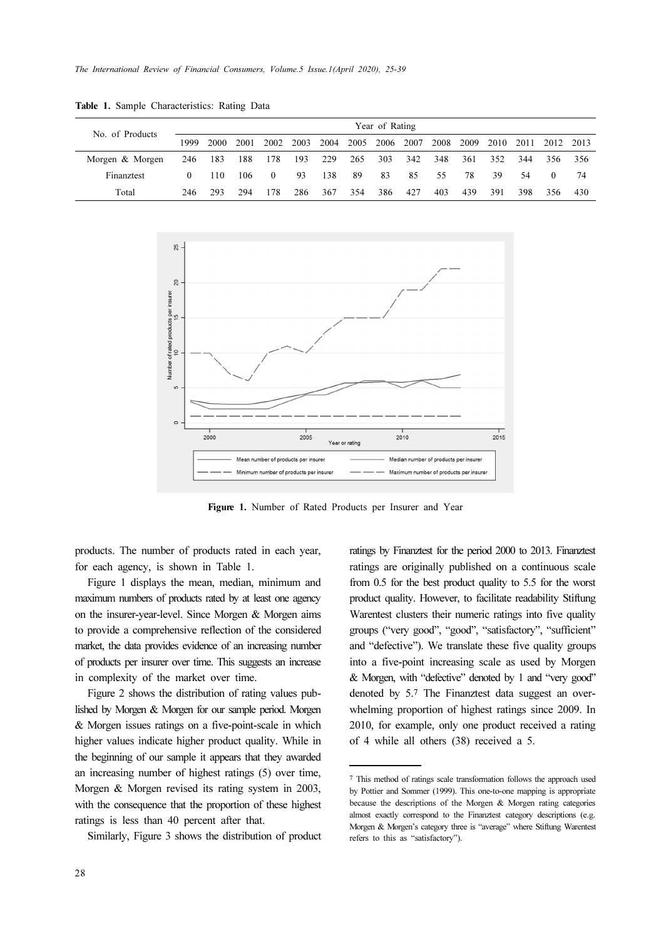| No. of Products |            |      |      |                |      |      |     | Year of Rating |     |      |      |      |      |           |       |
|-----------------|------------|------|------|----------------|------|------|-----|----------------|-----|------|------|------|------|-----------|-------|
|                 | 1999       | 2000 | 2001 | 2002           | 2003 | 2004 |     | 2005 2006 2007 |     | 2008 | 2009 | 2010 | 2011 | 2012 2013 |       |
| Morgen & Morgen | 246        | 183  | 188  | 178            | 193  | 229  | 265 | 303            | 342 | 348  | 361  | 352  | 344  | 356       | - 356 |
| Finanztest      | $^{\circ}$ | 110  | 106  | $\overline{0}$ | 93   | 138  | -89 | 83             | 85  | 55   | 78   | 39   | 54   | $\Omega$  | 74    |
| Total           | 246        | 293  | 294  | 178            | 286  | 367  | 354 | 386            | 427 | 403  | 439  | 391  | 398  | 356       | 430   |

Table 1. Sample Characteristics: Rating Data



Figure 1. Number of Rated Products per Insurer and Year

products. The number of products rated in each year, for each agency, is shown in Table 1.

Figure 1 displays the mean, median, minimum and maximum numbers of products rated by at least one agency on the insurer-year-level. Since Morgen & Morgen aims to provide a comprehensive reflection of the considered market, the data provides evidence of an increasing number of products per insurer over time. This suggests an increase in complexity of the market over time.

Figure 2 shows the distribution of rating values published by Morgen & Morgen for our sample period. Morgen & Morgen issues ratings on a five-point-scale in which higher values indicate higher product quality. While in the beginning of our sample it appears that they awarded an increasing number of highest ratings (5) over time, Morgen & Morgen revised its rating system in 2003, with the consequence that the proportion of these highest ratings is less than 40 percent after that.

Similarly, Figure 3 shows the distribution of product

ratings by Finanztest for the period 2000 to 2013. Finanztest ratings are originally published on a continuous scale from 0.5 for the best product quality to 5.5 for the worst product quality. However, to facilitate readability Stiftung Warentest clusters their numeric ratings into five quality groups ("very good", "good", "satisfactory", "sufficient" and "defective"). We translate these five quality groups into a five-point increasing scale as used by Morgen & Morgen, with "defective" denoted by 1 and "very good" denoted by 5.7 The Finanztest data suggest an overwhelming proportion of highest ratings since 2009. In 2010, for example, only one product received a rating of 4 while all others (38) received a 5.

<sup>7</sup> This method of ratings scale transformation follows the approach used by Pottier and Sommer (1999). This one-to-one mapping is appropriate because the descriptions of the Morgen & Morgen rating categories almost exactly correspond to the Finanztest category descriptions (e.g. Morgen & Morgen's category three is "average" where Stiftung Warentest refers to this as "satisfactory").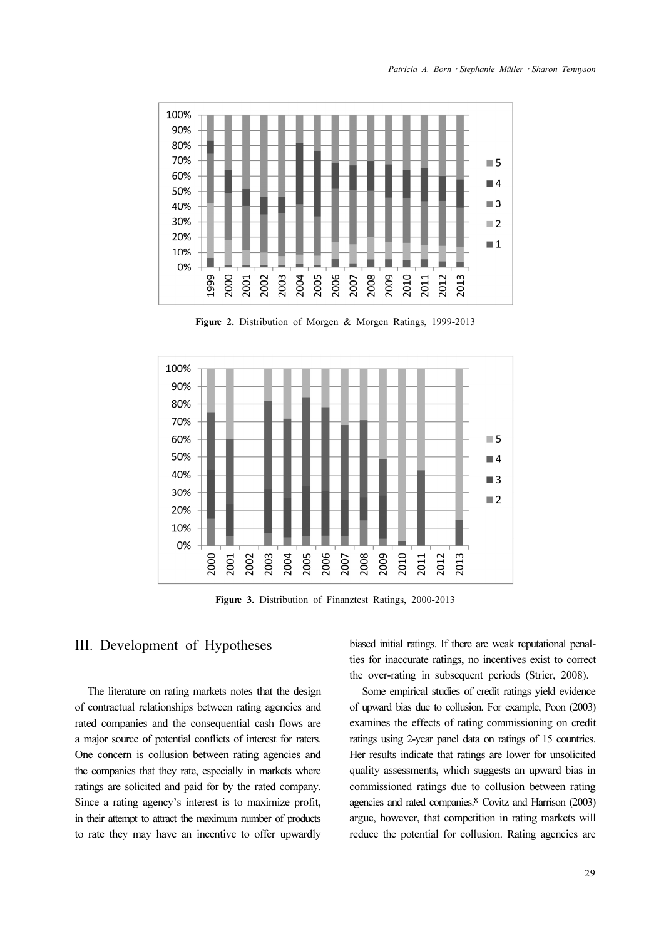

Figure 2. Distribution of Morgen & Morgen Ratings, 1999-2013



Figure 3. Distribution of Finanztest Ratings, 2000-2013

## III. Development of Hypotheses

The literature on rating markets notes that the design of contractual relationships between rating agencies and rated companies and the consequential cash flows are a major source of potential conflicts of interest for raters. One concern is collusion between rating agencies and the companies that they rate, especially in markets where ratings are solicited and paid for by the rated company. Since a rating agency's interest is to maximize profit, in their attempt to attract the maximum number of products to rate they may have an incentive to offer upwardly biased initial ratings. If there are weak reputational penalties for inaccurate ratings, no incentives exist to correct the over-rating in subsequent periods (Strier, 2008).

Some empirical studies of credit ratings yield evidence of upward bias due to collusion. For example, Poon (2003) examines the effects of rating commissioning on credit ratings using 2-year panel data on ratings of 15 countries. Her results indicate that ratings are lower for unsolicited quality assessments, which suggests an upward bias in commissioned ratings due to collusion between rating agencies and rated companies.8 Covitz and Harrison (2003) argue, however, that competition in rating markets will reduce the potential for collusion. Rating agencies are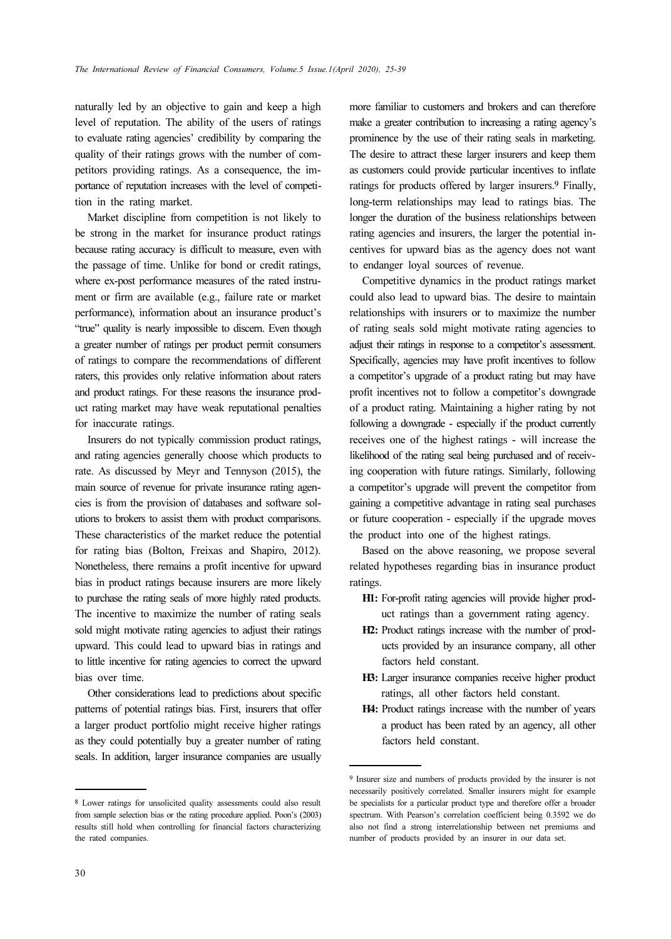naturally led by an objective to gain and keep a high level of reputation. The ability of the users of ratings to evaluate rating agencies' credibility by comparing the quality of their ratings grows with the number of competitors providing ratings. As a consequence, the importance of reputation increases with the level of competition in the rating market.

Market discipline from competition is not likely to be strong in the market for insurance product ratings because rating accuracy is difficult to measure, even with the passage of time. Unlike for bond or credit ratings, where ex-post performance measures of the rated instrument or firm are available (e.g., failure rate or market performance), information about an insurance product's "true" quality is nearly impossible to discern. Even though a greater number of ratings per product permit consumers of ratings to compare the recommendations of different raters, this provides only relative information about raters and product ratings. For these reasons the insurance product rating market may have weak reputational penalties for inaccurate ratings.

Insurers do not typically commission product ratings, and rating agencies generally choose which products to rate. As discussed by Meyr and Tennyson (2015), the main source of revenue for private insurance rating agencies is from the provision of databases and software solutions to brokers to assist them with product comparisons. These characteristics of the market reduce the potential for rating bias (Bolton, Freixas and Shapiro, 2012). Nonetheless, there remains a profit incentive for upward bias in product ratings because insurers are more likely to purchase the rating seals of more highly rated products. The incentive to maximize the number of rating seals sold might motivate rating agencies to adjust their ratings upward. This could lead to upward bias in ratings and to little incentive for rating agencies to correct the upward bias over time.

Other considerations lead to predictions about specific patterns of potential ratings bias. First, insurers that offer a larger product portfolio might receive higher ratings as they could potentially buy a greater number of rating seals. In addition, larger insurance companies are usually

more familiar to customers and brokers and can therefore make a greater contribution to increasing a rating agency's prominence by the use of their rating seals in marketing. The desire to attract these larger insurers and keep them as customers could provide particular incentives to inflate ratings for products offered by larger insurers.9 Finally, long-term relationships may lead to ratings bias. The longer the duration of the business relationships between rating agencies and insurers, the larger the potential incentives for upward bias as the agency does not want to endanger loyal sources of revenue.

Competitive dynamics in the product ratings market could also lead to upward bias. The desire to maintain relationships with insurers or to maximize the number of rating seals sold might motivate rating agencies to adjust their ratings in response to a competitor's assessment. Specifically, agencies may have profit incentives to follow a competitor's upgrade of a product rating but may have profit incentives not to follow a competitor's downgrade of a product rating. Maintaining a higher rating by not following a downgrade - especially if the product currently receives one of the highest ratings - will increase the likelihood of the rating seal being purchased and of receiving cooperation with future ratings. Similarly, following a competitor's upgrade will prevent the competitor from gaining a competitive advantage in rating seal purchases or future cooperation - especially if the upgrade moves the product into one of the highest ratings.

Based on the above reasoning, we propose several related hypotheses regarding bias in insurance product ratings.

- H1: For-profit rating agencies will provide higher product ratings than a government rating agency.
- H2: Product ratings increase with the number of products provided by an insurance company, all other factors held constant.
- H3: Larger insurance companies receive higher product ratings, all other factors held constant.
- H4: Product ratings increase with the number of years a product has been rated by an agency, all other factors held constant.

<sup>8</sup> Lower ratings for unsolicited quality assessments could also result from sample selection bias or the rating procedure applied. Poon's (2003) results still hold when controlling for financial factors characterizing the rated companies.

<sup>9</sup> Insurer size and numbers of products provided by the insurer is not necessarily positively correlated. Smaller insurers might for example be specialists for a particular product type and therefore offer a broader spectrum. With Pearson's correlation coefficient being 0.3592 we do also not find a strong interrelationship between net premiums and number of products provided by an insurer in our data set.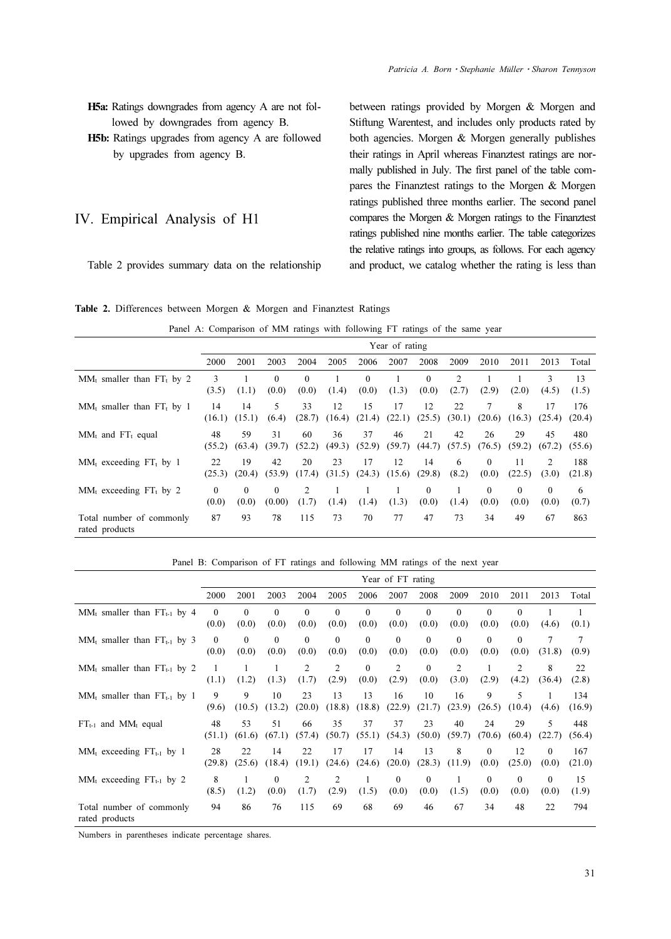- H5a: Ratings downgrades from agency A are not followed by downgrades from agency B.
- H5b: Ratings upgrades from agency A are followed by upgrades from agency B.

#### IV. Empirical Analysis of H1

Table 2 provides summary data on the relationship

between ratings provided by Morgen & Morgen and Stiftung Warentest, and includes only products rated by both agencies. Morgen & Morgen generally publishes their ratings in April whereas Finanztest ratings are normally published in July. The first panel of the table compares the Finanztest ratings to the Morgen & Morgen ratings published three months earlier. The second panel compares the Morgen & Morgen ratings to the Finanztest ratings published nine months earlier. The table categorizes the relative ratings into groups, as follows. For each agency and product, we catalog whether the rating is less than

|  |  | Table 2. Differences between Morgen & Morgen and Finanztest Ratings |  |  |  |  |  |  |  |
|--|--|---------------------------------------------------------------------|--|--|--|--|--|--|--|
|--|--|---------------------------------------------------------------------|--|--|--|--|--|--|--|

Panel A: Comparison of MM ratings with following FT ratings of the same year

|                                            |                   | Year of rating    |                    |                   |              |                   |              |                   |              |                   |                   |                   |               |
|--------------------------------------------|-------------------|-------------------|--------------------|-------------------|--------------|-------------------|--------------|-------------------|--------------|-------------------|-------------------|-------------------|---------------|
|                                            | 2000              | 2001              | 2003               | 2004              | 2005         | 2006              | 2007         | 2008              | 2009         | 2010              | 2011              | 2013              | Total         |
| $MM_t$ smaller than FT <sub>t</sub> by 2   | 3<br>(3.5)        | (1.1)             | $\theta$<br>(0.0)  | $\theta$<br>(0.0) | (1.4)        | $\Omega$<br>(0.0) | (1.3)        | $\theta$<br>(0.0) | 2<br>(2.7)   | (2.9)             | (2.0)             | 3<br>(4.5)        | 13<br>(1.5)   |
| $MM_t$ smaller than $FT_t$ by 1            | 14<br>(16.1)      | 14<br>(15.1)      | $\sim$<br>(6.4)    | 33<br>(28.7)      | 12<br>(16.4) | 15<br>(21.4)      | 17<br>(22.1) | 12<br>(25.5)      | 22<br>(30.1) | 7<br>(20.6)       | 8<br>(16.3)       | 17<br>(25.4)      | 176<br>(20.4) |
| $MM_t$ and $FT_t$ equal                    | 48<br>(55.2)      | 59<br>(63.4)      | 31<br>(39.7)       | 60<br>(52.2)      | 36<br>(49.3) | 37<br>(52.9)      | 46<br>(59.7) | 21<br>(44.7)      | 42<br>(57.5) | 26<br>(76.5)      | 29<br>(59.2)      | 45<br>(67.2)      | 480<br>(55.6) |
| $MM_t$ exceeding FT <sub>t</sub> by 1      | 22<br>(25.3)      | 19<br>(20.4)      | 42<br>(53.9)       | 20<br>(17.4)      | 23<br>(31.5) | 17<br>(24.3)      | 12<br>(15.6) | 14<br>(29.8)      | 6<br>(8.2)   | $\theta$<br>(0.0) | 11<br>(22.5)      | 2<br>(3.0)        | 188<br>(21.8) |
| $MM_t$ exceeding $FT_t$ by 2               | $\theta$<br>(0.0) | $\Omega$<br>(0.0) | $\Omega$<br>(0.00) | 2<br>(1.7)        | (1.4)        | (1.4)             | (1.3)        | $\Omega$<br>(0.0) | (1.4)        | $\theta$<br>(0.0) | $\Omega$<br>(0.0) | $\theta$<br>(0.0) | 6<br>(0.7)    |
| Total number of commonly<br>rated products | 87                | 93                | 78                 | 115               | 73           | 70                | 77           | 47                | 73           | 34                | 49                | 67                | 863           |

Panel B: Comparison of FT ratings and following MM ratings of the next year

|                                            |                   |                   |                   |                         |                         |                   | Year of FT rating     |                   |                   |                   |                         |                       |               |
|--------------------------------------------|-------------------|-------------------|-------------------|-------------------------|-------------------------|-------------------|-----------------------|-------------------|-------------------|-------------------|-------------------------|-----------------------|---------------|
|                                            | 2000              | 2001              | 2003              | 2004                    | 2005                    | 2006              | 2007                  | 2008              | 2009              | 2010              | 2011                    | 2013                  | Total         |
| $MM_t$ smaller than $FT_{t-1}$ by 4        | $\theta$<br>(0.0) | $\Omega$<br>(0.0) | $\theta$<br>(0.0) | $\theta$<br>(0.0)       | $\theta$<br>(0.0)       | $\Omega$<br>(0.0) | $\Omega$<br>(0.0)     | $\Omega$<br>(0.0) | $\Omega$<br>(0.0) | $\theta$<br>(0.0) | $\theta$<br>(0.0)       | (4.6)                 | 1<br>(0.1)    |
| $MM_t$ smaller than $FT_{t-1}$ by 3        | $\theta$<br>(0.0) | $\theta$<br>(0.0) | $\theta$<br>(0.0) | $\theta$<br>(0.0)       | $\theta$<br>(0.0)       | $\theta$<br>(0.0) | $\theta$<br>(0.0)     | $\theta$<br>(0.0) | $\Omega$<br>(0.0) | $\Omega$<br>(0.0) | $\theta$<br>(0.0)       | 7<br>(31.8)           | 7<br>(0.9)    |
| $MM_t$ smaller than $FT_{t-1}$ by 2        | (1.1)             | 1<br>(1.2)        | (1.3)             | $\overline{c}$<br>(1.7) | $\overline{c}$<br>(2.9) | $\Omega$<br>(0.0) | 2<br>(2.9)            | $\Omega$<br>(0.0) | 2<br>(3.0)        | (2.9)             | $\overline{2}$<br>(4.2) | 8<br>(36.4)           | 22<br>(2.8)   |
| $MM_t$ smaller than $FT_{t-1}$ by 1        | 9<br>(9.6)        | 9<br>(10.5)       | 10<br>(13.2)      | 23<br>(20.0)            | 13<br>(18.8)            | 13<br>(18.8)      | 16<br>(22.9)          | 10<br>(21.7)      | 16<br>(23.9)      | 9<br>(26.5)       | 5<br>(10.4)             | 1<br>(4.6)            | 134<br>(16.9) |
| $FT_{t-1}$ and MM <sub>t</sub> equal       | 48<br>(51.1)      | 53<br>(61.6)      | 51<br>(67.1)      | 66<br>(57.4)            | 35<br>(50.7)            | 37<br>(55.1)      | 37<br>(54.3)          | 23<br>(50.0)      | 40<br>(59.7)      | 24<br>(70.6)      | 29<br>(60.4)            | 5<br>(22.7)           | 448<br>(56.4) |
| $MM_t$ exceeding $FT_{t-1}$ by 1           | 28<br>(29.8)      | 22<br>(25.6)      | 14<br>(18.4)      | 22<br>(19.1)            | 17<br>(24.6)            | 17<br>(24.6)      | 14<br>(20.0)          | 13<br>(28.3)      | 8<br>(11.9)       | $\theta$<br>(0.0) | 12<br>(25.0)            | $\mathbf{0}$<br>(0.0) | 167<br>(21.0) |
| $MM_t$ exceeding $FT_{t-1}$ by 2           | 8<br>(8.5)        | 1<br>(1.2)        | $\theta$<br>(0.0) | 2<br>(1.7)              | 2<br>(2.9)              | (1.5)             | $\mathbf{0}$<br>(0.0) | $\Omega$<br>(0.0) | (1.5)             | $\theta$<br>(0.0) | $\theta$<br>(0.0)       | $\mathbf{0}$<br>(0.0) | 15<br>(1.9)   |
| Total number of commonly<br>rated products | 94                | 86                | 76                | 115                     | 69                      | 68                | 69                    | 46                | 67                | 34                | 48                      | 22                    | 794           |

Numbers in parentheses indicate percentage shares.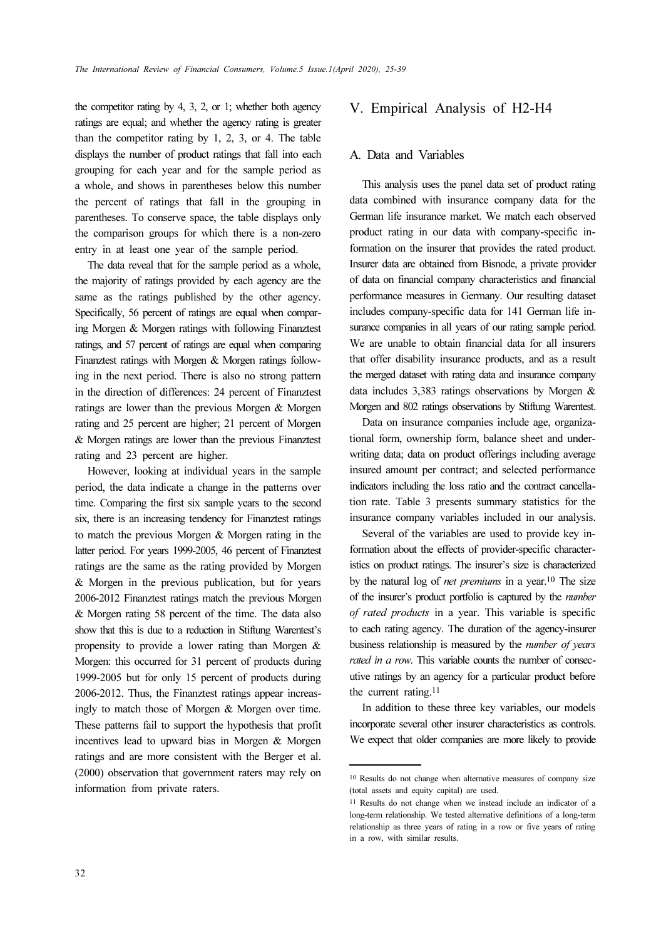the competitor rating by 4, 3, 2, or 1; whether both agency ratings are equal; and whether the agency rating is greater than the competitor rating by 1, 2, 3, or 4. The table displays the number of product ratings that fall into each grouping for each year and for the sample period as a whole, and shows in parentheses below this number the percent of ratings that fall in the grouping in parentheses. To conserve space, the table displays only the comparison groups for which there is a non-zero entry in at least one year of the sample period.

The data reveal that for the sample period as a whole, the majority of ratings provided by each agency are the same as the ratings published by the other agency. Specifically, 56 percent of ratings are equal when comparing Morgen & Morgen ratings with following Finanztest ratings, and 57 percent of ratings are equal when comparing Finanztest ratings with Morgen & Morgen ratings following in the next period. There is also no strong pattern in the direction of differences: 24 percent of Finanztest ratings are lower than the previous Morgen & Morgen rating and 25 percent are higher; 21 percent of Morgen & Morgen ratings are lower than the previous Finanztest rating and 23 percent are higher.

However, looking at individual years in the sample period, the data indicate a change in the patterns over time. Comparing the first six sample years to the second six, there is an increasing tendency for Finanztest ratings to match the previous Morgen & Morgen rating in the latter period. For years 1999-2005, 46 percent of Finanztest ratings are the same as the rating provided by Morgen & Morgen in the previous publication, but for years 2006-2012 Finanztest ratings match the previous Morgen & Morgen rating 58 percent of the time. The data also show that this is due to a reduction in Stiftung Warentest's propensity to provide a lower rating than Morgen & Morgen: this occurred for 31 percent of products during 1999-2005 but for only 15 percent of products during 2006-2012. Thus, the Finanztest ratings appear increasingly to match those of Morgen & Morgen over time. These patterns fail to support the hypothesis that profit incentives lead to upward bias in Morgen & Morgen ratings and are more consistent with the Berger et al. (2000) observation that government raters may rely on information from private raters.

## V. Empirical Analysis of H2-H4

#### A. Data and Variables

This analysis uses the panel data set of product rating data combined with insurance company data for the German life insurance market. We match each observed product rating in our data with company-specific information on the insurer that provides the rated product. Insurer data are obtained from Bisnode, a private provider of data on financial company characteristics and financial performance measures in Germany. Our resulting dataset includes company-specific data for 141 German life insurance companies in all years of our rating sample period. We are unable to obtain financial data for all insurers that offer disability insurance products, and as a result the merged dataset with rating data and insurance company data includes 3,383 ratings observations by Morgen & Morgen and 802 ratings observations by Stiftung Warentest.

Data on insurance companies include age, organizational form, ownership form, balance sheet and underwriting data; data on product offerings including average insured amount per contract; and selected performance indicators including the loss ratio and the contract cancellation rate. Table 3 presents summary statistics for the insurance company variables included in our analysis.

Several of the variables are used to provide key information about the effects of provider-specific characteristics on product ratings. The insurer's size is characterized by the natural log of *net premiums* in a year.<sup>10</sup> The size of the insurer's product portfolio is captured by the number of rated products in a year. This variable is specific to each rating agency. The duration of the agency-insurer business relationship is measured by the number of years rated in a row. This variable counts the number of consecutive ratings by an agency for a particular product before the current rating.<sup>11</sup>

In addition to these three key variables, our models incorporate several other insurer characteristics as controls. We expect that older companies are more likely to provide

<sup>10</sup> Results do not change when alternative measures of company size (total assets and equity capital) are used.

<sup>11</sup> Results do not change when we instead include an indicator of a long-term relationship. We tested alternative definitions of a long-term relationship as three years of rating in a row or five years of rating in a row, with similar results.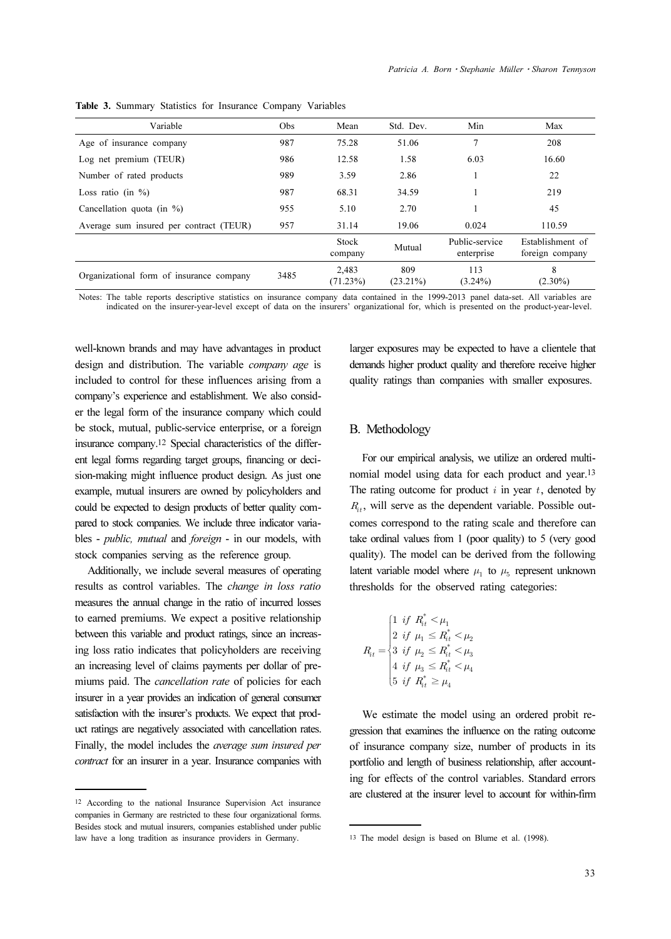| Variable                                 | Obs  | Mean              | Std. Dev.          | Min                          | Max                                 |
|------------------------------------------|------|-------------------|--------------------|------------------------------|-------------------------------------|
| Age of insurance company                 | 987  | 75.28             | 51.06              | 7                            | 208                                 |
| Log net premium (TEUR)                   | 986  | 12.58             | 1.58               | 6.03                         | 16.60                               |
| Number of rated products                 | 989  | 3.59              | 2.86               |                              | 22                                  |
| Loss ratio (in $\%$ )                    | 987  | 68.31             | 34.59              |                              | 219                                 |
| Cancellation quota (in $\%$ )            | 955  | 5.10              | 2.70               |                              | 45                                  |
| Average sum insured per contract (TEUR)  | 957  | 31.14             | 19.06              | 0.024                        | 110.59                              |
|                                          |      | Stock<br>company  | Mutual             | Public-service<br>enterprise | Establishment of<br>foreign company |
| Organizational form of insurance company | 3485 | 2.483<br>(71.23%) | 809<br>$(23.21\%)$ | 113<br>$(3.24\%)$            | 8<br>$(2.30\%)$                     |

Table 3. Summary Statistics for Insurance Company Variables

Notes: The table reports descriptive statistics on insurance company data contained in the 1999-2013 panel data-set. All variables are indicated on the insurer-year-level except of data on the insurers' organizational for, which is presented on the product-year-level.

well-known brands and may have advantages in product design and distribution. The variable company age is included to control for these influences arising from a company's experience and establishment. We also consider the legal form of the insurance company which could be stock, mutual, public-service enterprise, or a foreign insurance company.12 Special characteristics of the different legal forms regarding target groups, financing or decision-making might influence product design. As just one example, mutual insurers are owned by policyholders and could be expected to design products of better quality compared to stock companies. We include three indicator variables - public, mutual and foreign - in our models, with stock companies serving as the reference group.

Additionally, we include several measures of operating results as control variables. The change in loss ratio measures the annual change in the ratio of incurred losses to earned premiums. We expect a positive relationship between this variable and product ratings, since an increasing loss ratio indicates that policyholders are receiving an increasing level of claims payments per dollar of premiums paid. The *cancellation rate* of policies for each insurer in a year provides an indication of general consumer satisfaction with the insurer's products. We expect that product ratings are negatively associated with cancellation rates. Finally, the model includes the average sum insured per contract for an insurer in a year. Insurance companies with larger exposures may be expected to have a clientele that demands higher product quality and therefore receive higher quality ratings than companies with smaller exposures.

#### B. Methodology

For our empirical analysis, we utilize an ordered multinomial model using data for each product and year.<sup>13</sup> The rating outcome for product  $i$  in year  $t$ , denoted by  $R_{ij}$ , will serve as the dependent variable. Possible outcomes correspond to the rating scale and therefore can take ordinal values from 1 (poor quality) to 5 (very good quality). The model can be derived from the following latent variable model where  $\mu_1$  to  $\mu_5$  represent unknown thresholds for the observed rating categories:

$$
R_{it} = \begin{cases} 1 \hspace{0.1cm} if \hspace{0.1cm} R_{it}^* < \mu_1 \\ 2 \hspace{0.1cm} if \hspace{0.1cm} \mu_1 \leq R_{it}^* < \mu_2 \\ 3 \hspace{0.1cm} if \hspace{0.1cm} \mu_2 \leq R_{it}^* < \mu_3 \\ 4 \hspace{0.1cm} if \hspace{0.1cm} \mu_3 \leq R_{it}^* < \mu_4 \\ 5 \hspace{0.1cm} if \hspace{0.1cm} R_{it}^* \geq \mu_4 \end{cases}
$$

We estimate the model using an ordered probit regression that examines the influence on the rating outcome of insurance company size, number of products in its portfolio and length of business relationship, after accounting for effects of the control variables. Standard errors are clustered at the insurer level to account for within-firm

<sup>12</sup> According to the national Insurance Supervision Act insurance companies in Germany are restricted to these four organizational forms. Besides stock and mutual insurers, companies established under public law have a long tradition as insurance providers in Germany.

<sup>13</sup> The model design is based on Blume et al. (1998).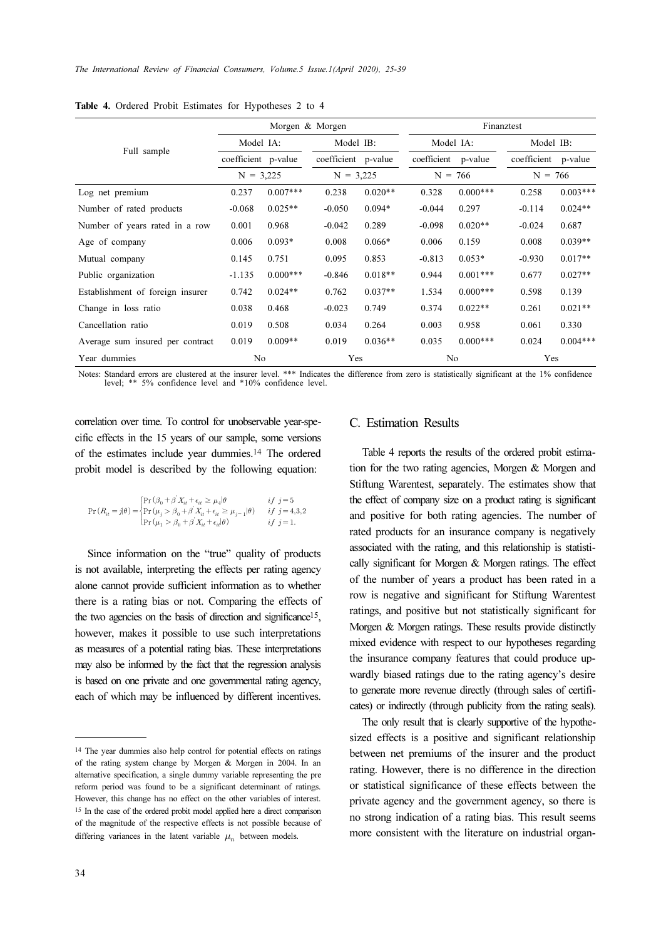|                                  |                     |            | Morgen & Morgen     |           | Finanztest  |            |             |            |  |  |
|----------------------------------|---------------------|------------|---------------------|-----------|-------------|------------|-------------|------------|--|--|
|                                  | Model IA:           |            |                     | Model IB: |             | Model IA:  | Model IB:   |            |  |  |
| Full sample                      | coefficient p-value |            | coefficient p-value |           | coefficient | p-value    | coefficient | p-value    |  |  |
|                                  | $N = 3,225$         |            | $N = 3,225$         |           | $N = 766$   |            | $N = 766$   |            |  |  |
| Log net premium                  | 0.237               | $0.007***$ | 0.238               | $0.020**$ | 0.328       | $0.000***$ | 0.258       | $0.003***$ |  |  |
| Number of rated products         | $-0.068$            | $0.025**$  | $-0.050$            | $0.094*$  | $-0.044$    | 0.297      | $-0.114$    | $0.024**$  |  |  |
| Number of years rated in a row   | 0.001               | 0.968      | $-0.042$            | 0.289     | $-0.098$    | $0.020**$  | $-0.024$    | 0.687      |  |  |
| Age of company                   | 0.006               | $0.093*$   | 0.008               | $0.066*$  | 0.006       | 0.159      | 0.008       | $0.039**$  |  |  |
| Mutual company                   | 0.145               | 0.751      | 0.095               | 0.853     | $-0.813$    | $0.053*$   | $-0.930$    | $0.017**$  |  |  |
| Public organization              | $-1.135$            | $0.000***$ | $-0.846$            | $0.018**$ | 0.944       | $0.001***$ | 0.677       | $0.027**$  |  |  |
| Establishment of foreign insurer | 0.742               | $0.024**$  | 0.762               | $0.037**$ | 1.534       | $0.000***$ | 0.598       | 0.139      |  |  |
| Change in loss ratio             | 0.038               | 0.468      | $-0.023$            | 0.749     | 0.374       | $0.022**$  | 0.261       | $0.021**$  |  |  |
| Cancellation ratio               | 0.019               | 0.508      | 0.034               | 0.264     | 0.003       | 0.958      | 0.061       | 0.330      |  |  |
| Average sum insured per contract | 0.019               | $0.009**$  | 0.019               | $0.036**$ | 0.035       | $0.000***$ | 0.024       | $0.004***$ |  |  |
| Year dummies                     | N <sub>0</sub>      |            | Yes                 |           | No          |            | Yes         |            |  |  |

Table 4. Ordered Probit Estimates for Hypotheses 2 to 4

Notes: Standard errors are clustered at the insurer level. \*\*\* Indicates the difference from zero is statistically significant at the 1% confidence level; \*\* 5% confidence level and \*10% confidence level.

correlation over time. To control for unobservable year-specific effects in the 15 years of our sample, some versions of the estimates include year dummies.14 The ordered probit model is described by the following equation:

$$
\Pr(R_{it} = j | \theta) = \begin{cases} \Pr(\beta_0 + \beta' X_{it} + \epsilon_{it} \ge \mu_4 | \theta & \text{if } j = 5 \\ \Pr(\mu_j > \beta_0 + \beta' X_{it} + \epsilon_{it} \ge \mu_{j-1} | \theta) & \text{if } j = 4, 3, 2 \\ \Pr(\mu_1 > \beta_0 + \beta' X_{it} + \epsilon_{it} | \theta) & \text{if } j = 1. \end{cases}
$$

Since information on the "true" quality of products is not available, interpreting the effects per rating agency alone cannot provide sufficient information as to whether there is a rating bias or not. Comparing the effects of the two agencies on the basis of direction and significance<sup>15</sup>, however, makes it possible to use such interpretations as measures of a potential rating bias. These interpretations may also be informed by the fact that the regression analysis is based on one private and one governmental rating agency, each of which may be influenced by different incentives.

#### C. Estimation Results

Table 4 reports the results of the ordered probit estimation for the two rating agencies, Morgen & Morgen and Stiftung Warentest, separately. The estimates show that the effect of company size on a product rating is significant and positive for both rating agencies. The number of rated products for an insurance company is negatively associated with the rating, and this relationship is statistically significant for Morgen & Morgen ratings. The effect of the number of years a product has been rated in a row is negative and significant for Stiftung Warentest ratings, and positive but not statistically significant for Morgen & Morgen ratings. These results provide distinctly mixed evidence with respect to our hypotheses regarding the insurance company features that could produce upwardly biased ratings due to the rating agency's desire to generate more revenue directly (through sales of certificates) or indirectly (through publicity from the rating seals).

The only result that is clearly supportive of the hypothesized effects is a positive and significant relationship between net premiums of the insurer and the product rating. However, there is no difference in the direction or statistical significance of these effects between the private agency and the government agency, so there is no strong indication of a rating bias. This result seems more consistent with the literature on industrial organ-

<sup>14</sup> The year dummies also help control for potential effects on ratings of the rating system change by Morgen & Morgen in 2004. In an alternative specification, a single dummy variable representing the pre reform period was found to be a significant determinant of ratings. However, this change has no effect on the other variables of interest. <sup>15</sup> In the case of the ordered probit model applied here a direct comparison of the magnitude of the respective effects is not possible because of differing variances in the latent variable  $\mu_n$  between models.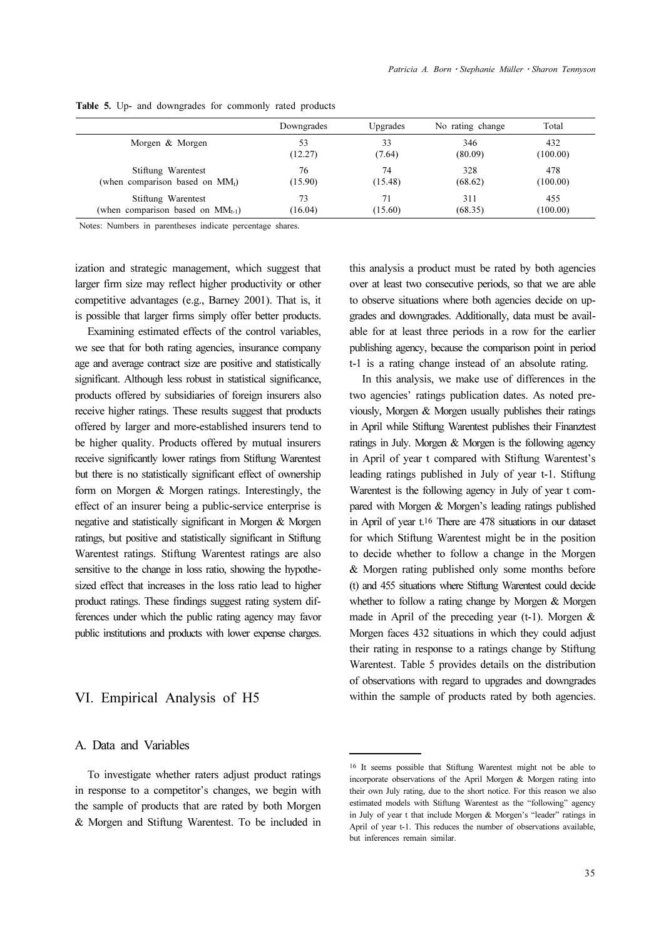|                                        | Downgrades | Upgrades | No rating change | Total    |
|----------------------------------------|------------|----------|------------------|----------|
| Morgen & Morgen                        | 53         | 33       | 346              | 432      |
|                                        | (12.27)    | (7.64)   | (80.09)          | (100.00) |
| Stiftung Warentest                     | 76         | 74       | 328              | 478      |
| (when comparison based on $MMt$ )      | (15.90)    | (15.48)  | (68.62)          | (100.00) |
| Stiftung Warentest                     | 73         | 71       | 311              | 455      |
| (when comparison based on $MM_{t-1}$ ) | (16.04)    | (15.60)  | (68.35)          | (100.00) |

Table 5. Up- and downgrades for commonly rated products

Notes: Numbers in parentheses indicate percentage shares.

ization and strategic management, which suggest that larger firm size may reflect higher productivity or other competitive advantages (e.g., Barney 2001). That is, it is possible that larger firms simply offer better products.

Examining estimated effects of the control variables, we see that for both rating agencies, insurance company age and average contract size are positive and statistically significant. Although less robust in statistical significance, products offered by subsidiaries of foreign insurers also receive higher ratings. These results suggest that products offered by larger and more-established insurers tend to be higher quality. Products offered by mutual insurers receive significantly lower ratings from Stiftung Warentest but there is no statistically significant effect of ownership form on Morgen & Morgen ratings. Interestingly, the effect of an insurer being a public-service enterprise is negative and statistically significant in Morgen & Morgen ratings, but positive and statistically significant in Stiftung Warentest ratings. Stiftung Warentest ratings are also sensitive to the change in loss ratio, showing the hypothesized effect that increases in the loss ratio lead to higher product ratings. These findings suggest rating system differences under which the public rating agency may favor public institutions and products with lower expense charges.

## VI. Empirical Analysis of H5

#### A. Data and Variables

To investigate whether raters adjust product ratings in response to a competitor's changes, we begin with the sample of products that are rated by both Morgen & Morgen and Stiftung Warentest. To be included in this analysis a product must be rated by both agencies over at least two consecutive periods, so that we are able to observe situations where both agencies decide on upgrades and downgrades. Additionally, data must be available for at least three periods in a row for the earlier publishing agency, because the comparison point in period t-1 is a rating change instead of an absolute rating.

In this analysis, we make use of differences in the two agencies' ratings publication dates. As noted previously, Morgen & Morgen usually publishes their ratings in April while Stiftung Warentest publishes their Finanztest ratings in July. Morgen & Morgen is the following agency in April of year t compared with Stiftung Warentest's leading ratings published in July of year t-1. Stiftung Warentest is the following agency in July of year t compared with Morgen & Morgen's leading ratings published in April of year t.16 There are 478 situations in our dataset for which Stiftung Warentest might be in the position to decide whether to follow a change in the Morgen & Morgen rating published only some months before (t) and 455 situations where Stiftung Warentest could decide whether to follow a rating change by Morgen & Morgen made in April of the preceding year (t-1). Morgen & Morgen faces 432 situations in which they could adjust their rating in response to a ratings change by Stiftung Warentest. Table 5 provides details on the distribution of observations with regard to upgrades and downgrades within the sample of products rated by both agencies.

<sup>16</sup> It seems possible that Stiftung Warentest might not be able to incorporate observations of the April Morgen & Morgen rating into their own July rating, due to the short notice. For this reason we also estimated models with Stiftung Warentest as the "following" agency in July of year t that include Morgen & Morgen's "leader" ratings in April of year t-1. This reduces the number of observations available, but inferences remain similar.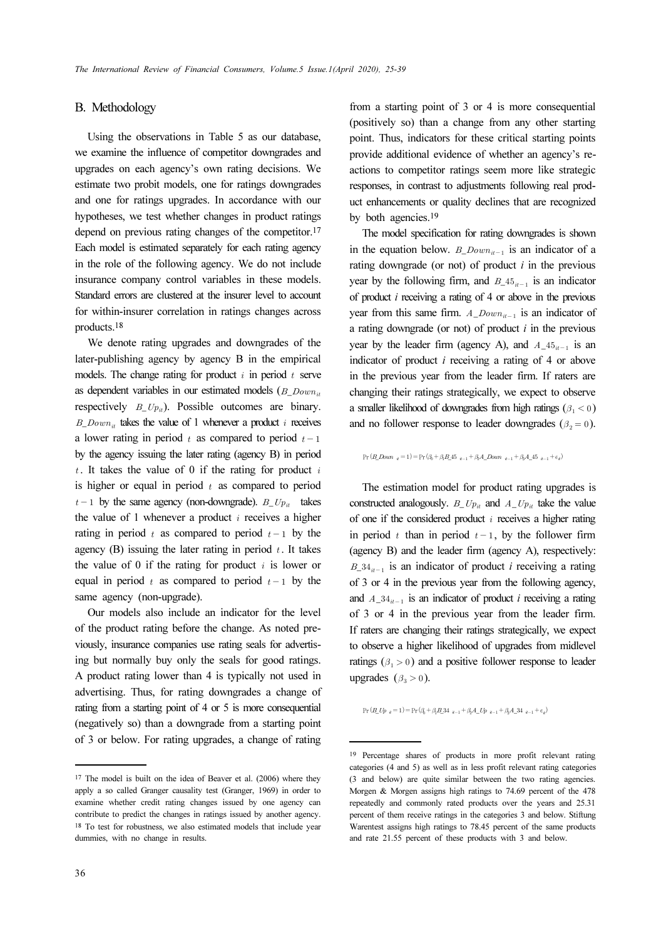#### B. Methodology

Using the observations in Table 5 as our database, we examine the influence of competitor downgrades and upgrades on each agency's own rating decisions. We estimate two probit models, one for ratings downgrades and one for ratings upgrades. In accordance with our hypotheses, we test whether changes in product ratings depend on previous rating changes of the competitor.<sup>17</sup> Each model is estimated separately for each rating agency in the role of the following agency. We do not include insurance company control variables in these models. Standard errors are clustered at the insurer level to account for within-insurer correlation in ratings changes across products.<sup>18</sup>

We denote rating upgrades and downgrades of the later-publishing agency by agency B in the empirical models. The change rating for product  $i$  in period  $t$  serve as dependent variables in our estimated models ( $B$   $Down_{it}$ ) respectively  $B_{U_p}$ . Possible outcomes are binary.  $B_{\perp}Down_{it}$  takes the value of 1 whenever a product *i* receives a lower rating in period  $t$  as compared to period  $t-1$ by the agency issuing the later rating (agency B) in period  $t$ . It takes the value of 0 if the rating for product  $i$ is higher or equal in period  $t$  as compared to period  $t-1$  by the same agency (non-downgrade).  $B_{\perp}Up_{it}$  takes the value of 1 whenever a product  $i$  receives a higher rating in period  $t$  as compared to period  $t-1$  by the agency (B) issuing the later rating in period  $t$ . It takes the value of 0 if the rating for product  $i$  is lower or equal in period  $t$  as compared to period  $t-1$  by the same agency (non-upgrade).

Our models also include an indicator for the level of the product rating before the change. As noted previously, insurance companies use rating seals for advertising but normally buy only the seals for good ratings. A product rating lower than 4 is typically not used in advertising. Thus, for rating downgrades a change of rating from a starting point of 4 or 5 is more consequential (negatively so) than a downgrade from a starting point of 3 or below. For rating upgrades, a change of rating

from a starting point of 3 or 4 is more consequential (positively so) than a change from any other starting point. Thus, indicators for these critical starting points provide additional evidence of whether an agency's reactions to competitor ratings seem more like strategic responses, in contrast to adjustments following real product enhancements or quality declines that are recognized by both agencies.<sup>19</sup>

The model specification for rating downgrades is shown in the equation below.  $B_{\_}Down_{u-1}$  is an indicator of a rating downgrade (or not) of product  $i$  in the previous year by the following firm, and  $B_4 5_{it-1}$  is an indicator of product  $i$  receiving a rating of 4 or above in the previous year from this same firm.  $A_{1}Down_{n-1}$  is an indicator of a rating downgrade (or not) of product  $i$  in the previous year by the leader firm (agency A), and  $A_4 5_{i}i_{-1}$  is an indicator of product  $i$  receiving a rating of 4 or above in the previous year from the leader firm. If raters are changing their ratings strategically, we expect to observe a smaller likelihood of downgrades from high ratings  $(\beta, \langle 0 \rangle)$ and no follower response to leader downgrades ( $\beta_2 = 0$ ).

 $Pr(B\_Down_{\alpha} = 1) = Pr(\beta_0 + \beta_1 B_2 45_{\alpha-1} + \beta_2 A_2 Down_{\alpha-1} + \beta_3 A_3 45_{\alpha-1} + \epsilon_{\alpha})$ 

The estimation model for product rating upgrades is constructed analogously.  $B U p_{it}$  and  $A U p_{it}$  take the value of one if the considered product  $i$  receives a higher rating in period  $t$  than in period  $t-1$ , by the follower firm (agency B) and the leader firm (agency A), respectively:  $B_3$ <sup>1</sup><sub>i<sup>1-1</sub></sup> is an indicator of product *i* receiving a rating</sub> of 3 or 4 in the previous year from the following agency, and  $A_3A_{it-1}$  is an indicator of product i receiving a rating of 3 or 4 in the previous year from the leader firm. If raters are changing their ratings strategically, we expect to observe a higher likelihood of upgrades from midlevel ratings ( $\beta_1 > 0$ ) and a positive follower response to leader upgrades  $(\beta_3 > 0)$ .

 $Pr(B\_Up_{a} = 1) = Pr(\beta_{0} + \beta_{1}B_{2}34_{a-1} + \beta_{2}A_{-}Up_{a-1} + \beta_{3}A_{-}34_{a-1} + \epsilon_{a})$ 

<sup>&</sup>lt;sup>17</sup> The model is built on the idea of Beaver et al. (2006) where they apply a so called Granger causality test (Granger, 1969) in order to examine whether credit rating changes issued by one agency can contribute to predict the changes in ratings issued by another agency. <sup>18</sup> To test for robustness, we also estimated models that include year dummies, with no change in results.

<sup>19</sup> Percentage shares of products in more profit relevant rating categories (4 and 5) as well as in less profit relevant rating categories (3 and below) are quite similar between the two rating agencies. Morgen & Morgen assigns high ratings to 74.69 percent of the 478 repeatedly and commonly rated products over the years and 25.31 percent of them receive ratings in the categories 3 and below. Stiftung Warentest assigns high ratings to 78.45 percent of the same products and rate 21.55 percent of these products with 3 and below.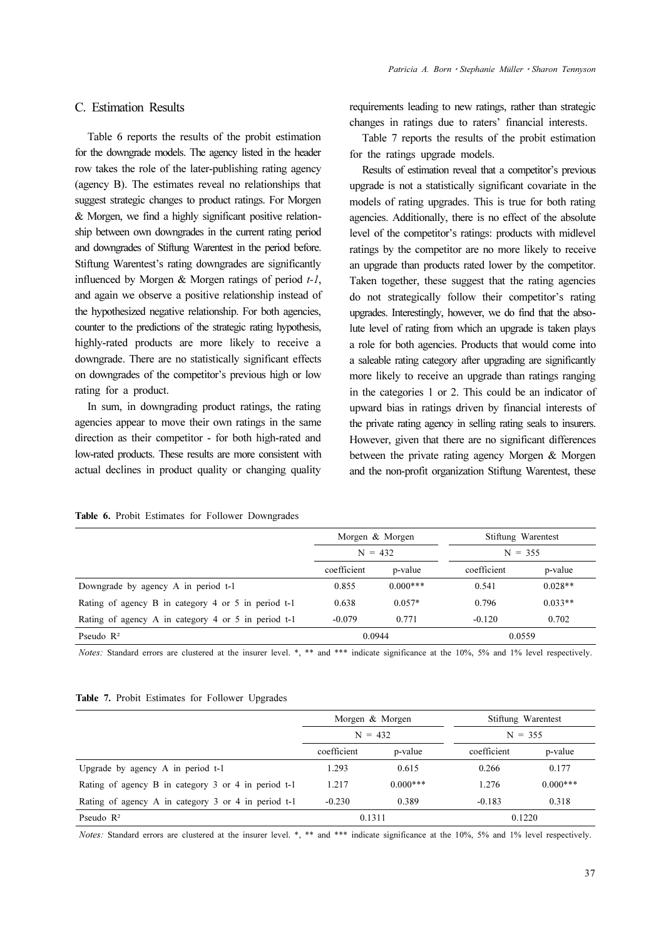Table 6 reports the results of the probit estimation for the downgrade models. The agency listed in the header row takes the role of the later-publishing rating agency (agency B). The estimates reveal no relationships that suggest strategic changes to product ratings. For Morgen & Morgen, we find a highly significant positive relationship between own downgrades in the current rating period and downgrades of Stiftung Warentest in the period before. Stiftung Warentest's rating downgrades are significantly influenced by Morgen  $\&$  Morgen ratings of period  $t-1$ , and again we observe a positive relationship instead of the hypothesized negative relationship. For both agencies, counter to the predictions of the strategic rating hypothesis, highly-rated products are more likely to receive a downgrade. There are no statistically significant effects on downgrades of the competitor's previous high or low rating for a product.

In sum, in downgrading product ratings, the rating agencies appear to move their own ratings in the same direction as their competitor - for both high-rated and low-rated products. These results are more consistent with actual declines in product quality or changing quality requirements leading to new ratings, rather than strategic changes in ratings due to raters' financial interests.

Table 7 reports the results of the probit estimation for the ratings upgrade models.

Results of estimation reveal that a competitor's previous upgrade is not a statistically significant covariate in the models of rating upgrades. This is true for both rating agencies. Additionally, there is no effect of the absolute level of the competitor's ratings: products with midlevel ratings by the competitor are no more likely to receive an upgrade than products rated lower by the competitor. Taken together, these suggest that the rating agencies do not strategically follow their competitor's rating upgrades. Interestingly, however, we do find that the absolute level of rating from which an upgrade is taken plays a role for both agencies. Products that would come into a saleable rating category after upgrading are significantly more likely to receive an upgrade than ratings ranging in the categories 1 or 2. This could be an indicator of upward bias in ratings driven by financial interests of the private rating agency in selling rating seals to insurers. However, given that there are no significant differences between the private rating agency Morgen & Morgen and the non-profit organization Stiftung Warentest, these

|  |  |  |  |  |  | Table 6. Probit Estimates for Follower Downgrades |
|--|--|--|--|--|--|---------------------------------------------------|
|--|--|--|--|--|--|---------------------------------------------------|

|                                                     |             | Morgen & Morgen | Stiftung Warentest |           |
|-----------------------------------------------------|-------------|-----------------|--------------------|-----------|
|                                                     |             | $N = 432$       | $N = 355$          |           |
|                                                     | coefficient | p-value         | coefficient        | p-value   |
| Downgrade by agency A in period t-1                 | 0.855       | $0.000***$      | 0.541              | $0.028**$ |
| Rating of agency B in category 4 or 5 in period t-1 | 0.638       | $0.057*$        | 0.796              | $0.033**$ |
| Rating of agency A in category 4 or 5 in period t-1 | $-0.079$    | 0.771           | $-0.120$           | 0.702     |
| Pseudo $\mathbb{R}^2$                               |             | 0.0944          | 0.0559             |           |

Notes: Standard errors are clustered at the insurer level. \*, \*\* and \*\*\* indicate significance at the 10%, 5% and 1% level respectively.

| <b>Table 7.</b> Probit Estimates for Follower Upgrades |  |
|--------------------------------------------------------|--|
|--------------------------------------------------------|--|

|                                                     |             | Morgen & Morgen | Stiftung Warentest |            |  |  |  |  |
|-----------------------------------------------------|-------------|-----------------|--------------------|------------|--|--|--|--|
|                                                     | $N = 432$   |                 | $N = 355$          |            |  |  |  |  |
|                                                     | coefficient | p-value         | coefficient        | p-value    |  |  |  |  |
| Upgrade by agency A in period t-1                   | 1.293       | 0.615           | 0.266              | 0.177      |  |  |  |  |
| Rating of agency B in category 3 or 4 in period t-1 | 1.217       | $0.000***$      | 1.276              | $0.000***$ |  |  |  |  |
| Rating of agency A in category 3 or 4 in period t-1 | $-0.230$    | 0.389           | $-0.183$           | 0.318      |  |  |  |  |
| Pseudo $\mathbb{R}^2$                               | 0.1311      |                 | 0.1220             |            |  |  |  |  |

Notes: Standard errors are clustered at the insurer level. \*, \*\* and \*\*\* indicate significance at the 10%, 5% and 1% level respectively.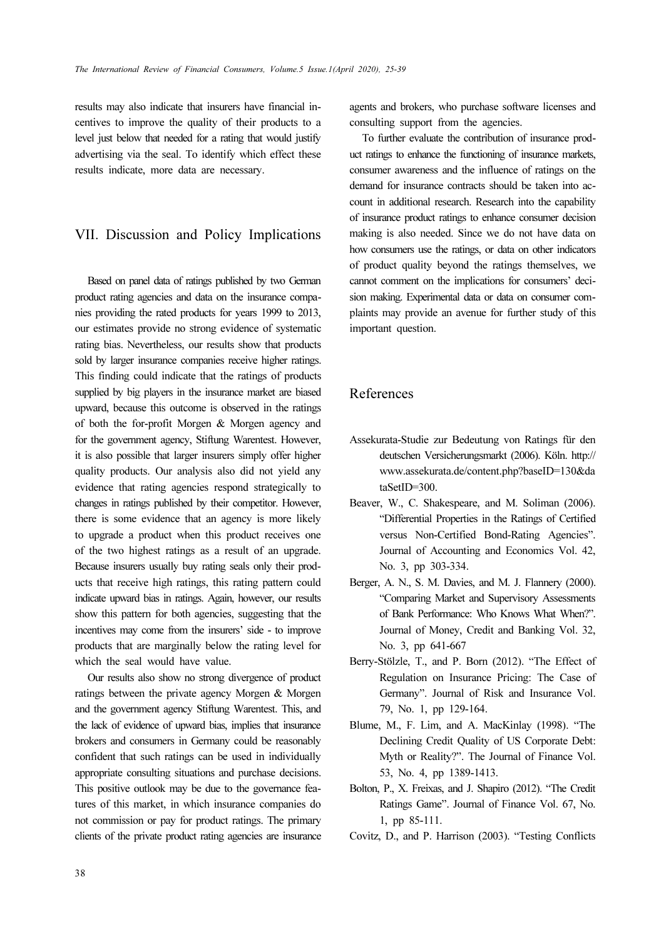results may also indicate that insurers have financial incentives to improve the quality of their products to a level just below that needed for a rating that would justify advertising via the seal. To identify which effect these results indicate, more data are necessary.

## VII. Discussion and Policy Implications

Based on panel data of ratings published by two German product rating agencies and data on the insurance companies providing the rated products for years 1999 to 2013, our estimates provide no strong evidence of systematic rating bias. Nevertheless, our results show that products sold by larger insurance companies receive higher ratings. This finding could indicate that the ratings of products supplied by big players in the insurance market are biased upward, because this outcome is observed in the ratings of both the for-profit Morgen & Morgen agency and for the government agency, Stiftung Warentest. However, it is also possible that larger insurers simply offer higher quality products. Our analysis also did not yield any evidence that rating agencies respond strategically to changes in ratings published by their competitor. However, there is some evidence that an agency is more likely to upgrade a product when this product receives one of the two highest ratings as a result of an upgrade. Because insurers usually buy rating seals only their products that receive high ratings, this rating pattern could indicate upward bias in ratings. Again, however, our results show this pattern for both agencies, suggesting that the incentives may come from the insurers' side - to improve products that are marginally below the rating level for which the seal would have value.

Our results also show no strong divergence of product ratings between the private agency Morgen & Morgen and the government agency Stiftung Warentest. This, and the lack of evidence of upward bias, implies that insurance brokers and consumers in Germany could be reasonably confident that such ratings can be used in individually appropriate consulting situations and purchase decisions. This positive outlook may be due to the governance features of this market, in which insurance companies do not commission or pay for product ratings. The primary clients of the private product rating agencies are insurance agents and brokers, who purchase software licenses and consulting support from the agencies.

To further evaluate the contribution of insurance product ratings to enhance the functioning of insurance markets, consumer awareness and the influence of ratings on the demand for insurance contracts should be taken into account in additional research. Research into the capability of insurance product ratings to enhance consumer decision making is also needed. Since we do not have data on how consumers use the ratings, or data on other indicators of product quality beyond the ratings themselves, we cannot comment on the implications for consumers' decision making. Experimental data or data on consumer complaints may provide an avenue for further study of this important question.

## References

- Assekurata-Studie zur Bedeutung von Ratings für den deutschen Versicherungsmarkt (2006). Köln. http:// www.assekurata.de/content.php?baseID=130&da taSetID=300.
- Beaver, W., C. Shakespeare, and M. Soliman (2006). "Differential Properties in the Ratings of Certified versus Non-Certified Bond-Rating Agencies". Journal of Accounting and Economics Vol. 42, No. 3, pp 303-334.
- Berger, A. N., S. M. Davies, and M. J. Flannery (2000). "Comparing Market and Supervisory Assessments of Bank Performance: Who Knows What When?". Journal of Money, Credit and Banking Vol. 32, No. 3, pp 641-667
- Berry-Stölzle, T., and P. Born (2012). "The Effect of Regulation on Insurance Pricing: The Case of Germany". Journal of Risk and Insurance Vol. 79, No. 1, pp 129-164.
- Blume, M., F. Lim, and A. MacKinlay (1998). "The Declining Credit Quality of US Corporate Debt: Myth or Reality?". The Journal of Finance Vol. 53, No. 4, pp 1389-1413.
- Bolton, P., X. Freixas, and J. Shapiro (2012). "The Credit Ratings Game". Journal of Finance Vol. 67, No. 1, pp 85-111.
- Covitz, D., and P. Harrison (2003). "Testing Conflicts